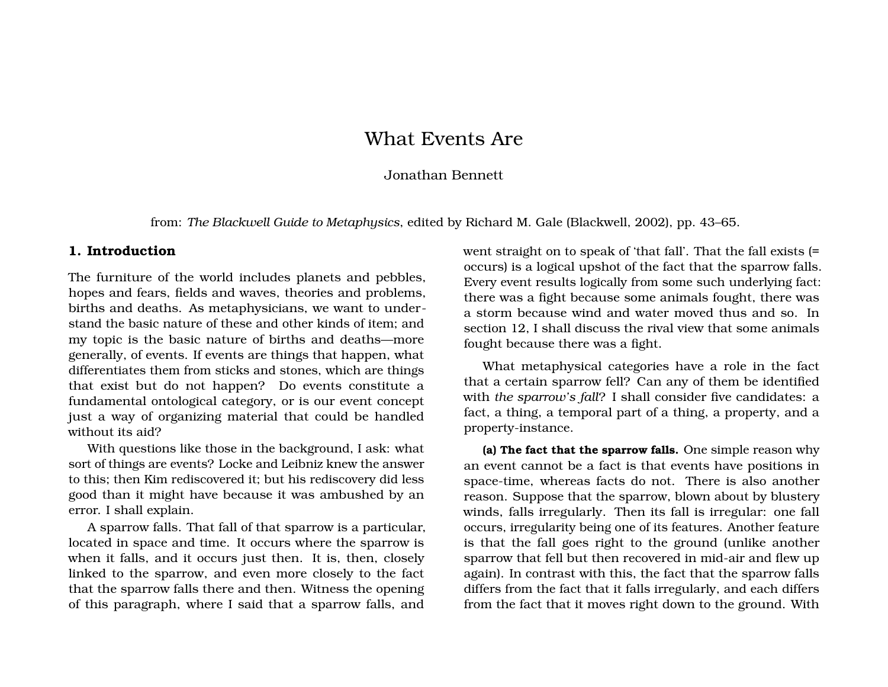# What Events Are

## Jonathan Bennett

from: *The Blackwell Guide to Metaphysics*, edited by Richard M. Gale (Blackwell, 2002), pp. 43–65.

#### **1. Introduction**

The furniture of the world includes planets and pebbles, hopes and fears, fields and waves, theories and problems, births and deaths. As metaphysicians, we want to understand the basic nature of these and other kinds of item; and my topic is the basic nature of births and deaths—more generally, of events. If events are things that happen, what differentiates them from sticks and stones, which are things that exist but do not happen? Do events constitute a fundamental ontological category, or is our event concept just a way of organizing material that could be handled without its aid?

With questions like those in the background, I ask: what sort of things are events? Locke and Leibniz knew the answer to this; then Kim rediscovered it; but his rediscovery did less good than it might have because it was ambushed by an error. I shall explain.

A sparrow falls. That fall of that sparrow is a particular, located in space and time. It occurs where the sparrow is when it falls, and it occurs just then. It is, then, closely linked to the sparrow, and even more closely to the fact that the sparrow falls there and then. Witness the opening of this paragraph, where I said that a sparrow falls, and

went straight on to speak of 'that fall'. That the fall exists (= occurs) is a logical upshot of the fact that the sparrow falls. Every event results logically from some such underlying fact: there was a fight because some animals fought, there was a storm because wind and water moved thus and so. In section 12, I shall discuss the rival view that some animals fought because there was a fight.

What metaphysical categories have a role in the fact that a certain sparrow fell? Can any of them be identified with *the sparrow's fall*? I shall consider five candidates: a fact, a thing, a temporal part of a thing, a property, and a property-instance.

**(a) The fact that the sparrow falls.** One simple reason why an event cannot be a fact is that events have positions in space-time, whereas facts do not. There is also another reason. Suppose that the sparrow, blown about by blustery winds, falls irregularly. Then its fall is irregular: one fall occurs, irregularity being one of its features. Another feature is that the fall goes right to the ground (unlike another sparrow that fell but then recovered in mid-air and flew up again). In contrast with this, the fact that the sparrow falls differs from the fact that it falls irregularly, and each differs from the fact that it moves right down to the ground. With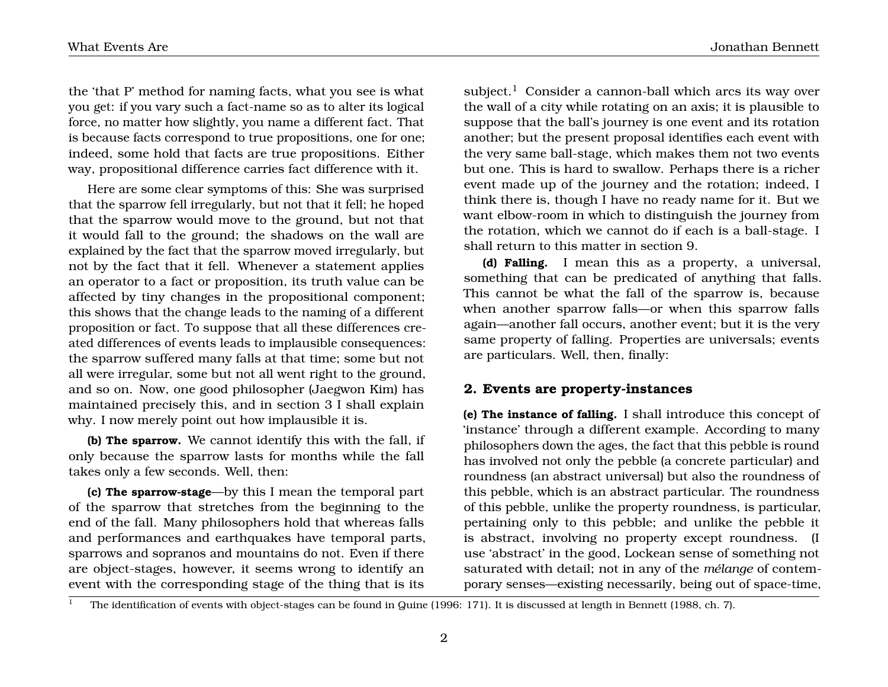the 'that P' method for naming facts, what you see is what you get: if you vary such a fact-name so as to alter its logical force, no matter how slightly, you name a different fact. That is because facts correspond to true propositions, one for one; indeed, some hold that facts are true propositions. Either way, propositional difference carries fact difference with it.

Here are some clear symptoms of this: She was surprised that the sparrow fell irregularly, but not that it fell; he hoped that the sparrow would move to the ground, but not that it would fall to the ground; the shadows on the wall are explained by the fact that the sparrow moved irregularly, but not by the fact that it fell. Whenever a statement applies an operator to a fact or proposition, its truth value can be affected by tiny changes in the propositional component; this shows that the change leads to the naming of a different proposition or fact. To suppose that all these differences created differences of events leads to implausible consequences: the sparrow suffered many falls at that time; some but not all were irregular, some but not all went right to the ground, and so on. Now, one good philosopher (Jaegwon Kim) has maintained precisely this, and in section 3 I shall explain why. I now merely point out how implausible it is.

**(b) The sparrow.** We cannot identify this with the fall, if only because the sparrow lasts for months while the fall takes only a few seconds. Well, then:

**(c) The sparrow-stage**—by this I mean the temporal part of the sparrow that stretches from the beginning to the end of the fall. Many philosophers hold that whereas falls and performances and earthquakes have temporal parts, sparrows and sopranos and mountains do not. Even if there are object-stages, however, it seems wrong to identify an event with the corresponding stage of the thing that is its

subject.<sup>1</sup> Consider a cannon-ball which arcs its way over the wall of a city while rotating on an axis; it is plausible to suppose that the ball's journey is one event and its rotation another; but the present proposal identifies each event with the very same ball-stage, which makes them not two events but one. This is hard to swallow. Perhaps there is a richer event made up of the journey and the rotation; indeed, I think there is, though I have no ready name for it. But we want elbow-room in which to distinguish the journey from the rotation, which we cannot do if each is a ball-stage. I shall return to this matter in section 9.

**(d) Falling.** I mean this as a property, a universal, something that can be predicated of anything that falls. This cannot be what the fall of the sparrow is, because when another sparrow falls—or when this sparrow falls again—another fall occurs, another event; but it is the very same property of falling. Properties are universals; events are particulars. Well, then, finally:

## **2. Events are property-instances**

**(e) The instance of falling.** I shall introduce this concept of 'instance' through a different example. According to many philosophers down the ages, the fact that this pebble is round has involved not only the pebble (a concrete particular) and roundness (an abstract universal) but also the roundness of this pebble, which is an abstract particular. The roundness of this pebble, unlike the property roundness, is particular, pertaining only to this pebble; and unlike the pebble it is abstract, involving no property except roundness. (I use 'abstract' in the good, Lockean sense of something not saturated with detail; not in any of the *mélange* of contemporary senses—existing necessarily, being out of space-time,

<sup>1</sup> The identification of events with object-stages can be found in Quine (1996: 171). It is discussed at length in Bennett (1988, ch. 7).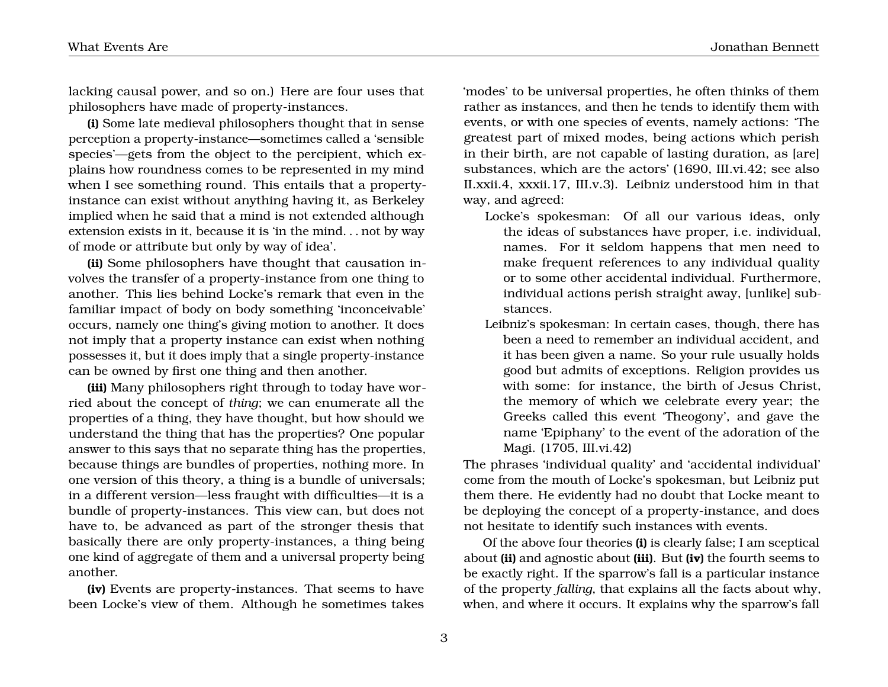lacking causal power, and so on.) Here are four uses that philosophers have made of property-instances.

**(i)** Some late medieval philosophers thought that in sense perception a property-instance—sometimes called a 'sensible species'—gets from the object to the percipient, which explains how roundness comes to be represented in my mind when I see something round. This entails that a propertyinstance can exist without anything having it, as Berkeley implied when he said that a mind is not extended although extension exists in it, because it is 'in the mind. . . not by way of mode or attribute but only by way of idea'.

**(ii)** Some philosophers have thought that causation involves the transfer of a property-instance from one thing to another. This lies behind Locke's remark that even in the familiar impact of body on body something 'inconceivable' occurs, namely one thing's giving motion to another. It does not imply that a property instance can exist when nothing possesses it, but it does imply that a single property-instance can be owned by first one thing and then another.

**(iii)** Many philosophers right through to today have worried about the concept of *thing*; we can enumerate all the properties of a thing, they have thought, but how should we understand the thing that has the properties? One popular answer to this says that no separate thing has the properties, because things are bundles of properties, nothing more. In one version of this theory, a thing is a bundle of universals; in a different version—less fraught with difficulties—it is a bundle of property-instances. This view can, but does not have to, be advanced as part of the stronger thesis that basically there are only property-instances, a thing being one kind of aggregate of them and a universal property being another.

**(iv)** Events are property-instances. That seems to have been Locke's view of them. Although he sometimes takes 'modes' to be universal properties, he often thinks of them rather as instances, and then he tends to identify them with events, or with one species of events, namely actions: 'The greatest part of mixed modes, being actions which perish in their birth, are not capable of lasting duration, as [are] substances, which are the actors' (1690, III.vi.42; see also II.xxii.4, xxxii.17, III.v.3). Leibniz understood him in that way, and agreed:

- Locke's spokesman: Of all our various ideas, only the ideas of substances have proper, i.e. individual, names. For it seldom happens that men need to make frequent references to any individual quality or to some other accidental individual. Furthermore, individual actions perish straight away, [unlike] substances.
- Leibniz's spokesman: In certain cases, though, there has been a need to remember an individual accident, and it has been given a name. So your rule usually holds good but admits of exceptions. Religion provides us with some: for instance, the birth of Jesus Christ, the memory of which we celebrate every year; the Greeks called this event 'Theogony', and gave the name 'Epiphany' to the event of the adoration of the Magi. (1705, III.vi.42)

The phrases 'individual quality' and 'accidental individual' come from the mouth of Locke's spokesman, but Leibniz put them there. He evidently had no doubt that Locke meant to be deploying the concept of a property-instance, and does not hesitate to identify such instances with events.

Of the above four theories **(i)** is clearly false; I am sceptical about **(ii)** and agnostic about **(iii)**. But **(iv)** the fourth seems to be exactly right. If the sparrow's fall is a particular instance of the property *falling*, that explains all the facts about why, when, and where it occurs. It explains why the sparrow's fall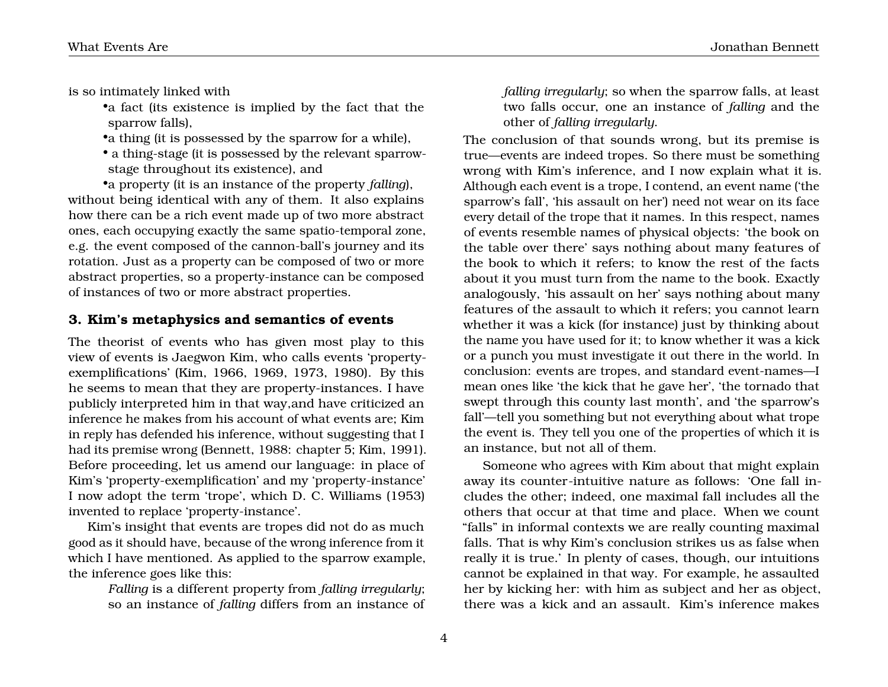is so intimately linked with

•a fact (its existence is implied by the fact that the sparrow falls),

•a thing (it is possessed by the sparrow for a while),

• a thing-stage (it is possessed by the relevant sparrowstage throughout its existence), and

•a property (it is an instance of the property *falling*), without being identical with any of them. It also explains how there can be a rich event made up of two more abstract ones, each occupying exactly the same spatio-temporal zone, e.g. the event composed of the cannon-ball's journey and its rotation. Just as a property can be composed of two or more abstract properties, so a property-instance can be composed of instances of two or more abstract properties.

## **3. Kim's metaphysics and semantics of events**

The theorist of events who has given most play to this view of events is Jaegwon Kim, who calls events 'propertyexemplifications' (Kim, 1966, 1969, 1973, 1980). By this he seems to mean that they are property-instances. I have publicly interpreted him in that way,and have criticized an inference he makes from his account of what events are; Kim in reply has defended his inference, without suggesting that I had its premise wrong (Bennett, 1988: chapter 5; Kim, 1991). Before proceeding, let us amend our language: in place of Kim's 'property-exemplification' and my 'property-instance' I now adopt the term 'trope', which D. C. Williams (1953) invented to replace 'property-instance'.

Kim's insight that events are tropes did not do as much good as it should have, because of the wrong inference from it which I have mentioned. As applied to the sparrow example, the inference goes like this:

> *Falling* is a different property from *falling irregularly*; so an instance of *falling* differs from an instance of

*falling irregularly*; so when the sparrow falls, at least two falls occur, one an instance of *falling* and the other of *falling irregularly*.

The conclusion of that sounds wrong, but its premise is true—events are indeed tropes. So there must be something wrong with Kim's inference, and I now explain what it is. Although each event is a trope, I contend, an event name ('the sparrow's fall', 'his assault on her') need not wear on its face every detail of the trope that it names. In this respect, names of events resemble names of physical objects: 'the book on the table over there' says nothing about many features of the book to which it refers; to know the rest of the facts about it you must turn from the name to the book. Exactly analogously, 'his assault on her' says nothing about many features of the assault to which it refers; you cannot learn whether it was a kick (for instance) just by thinking about the name you have used for it; to know whether it was a kick or a punch you must investigate it out there in the world. In conclusion: events are tropes, and standard event-names—I mean ones like 'the kick that he gave her', 'the tornado that swept through this county last month', and 'the sparrow's fall'—tell you something but not everything about what trope the event is. They tell you one of the properties of which it is an instance, but not all of them.

Someone who agrees with Kim about that might explain away its counter-intuitive nature as follows: 'One fall includes the other; indeed, one maximal fall includes all the others that occur at that time and place. When we count "falls" in informal contexts we are really counting maximal falls. That is why Kim's conclusion strikes us as false when really it is true.' In plenty of cases, though, our intuitions cannot be explained in that way. For example, he assaulted her by kicking her: with him as subject and her as object, there was a kick and an assault. Kim's inference makes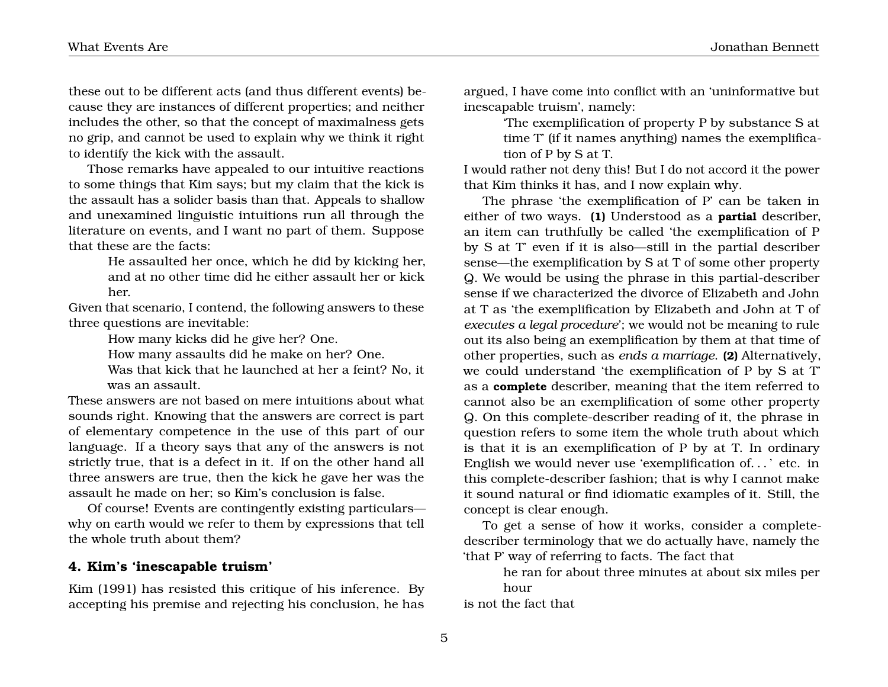these out to be different acts (and thus different events) because they are instances of different properties; and neither includes the other, so that the concept of maximalness gets no grip, and cannot be used to explain why we think it right to identify the kick with the assault.

Those remarks have appealed to our intuitive reactions to some things that Kim says; but my claim that the kick is the assault has a solider basis than that. Appeals to shallow and unexamined linguistic intuitions run all through the literature on events, and I want no part of them. Suppose that these are the facts:

> He assaulted her once, which he did by kicking her, and at no other time did he either assault her or kick her.

Given that scenario, I contend, the following answers to these three questions are inevitable:

How many kicks did he give her? One.

How many assaults did he make on her? One.

Was that kick that he launched at her a feint? No, it was an assault.

These answers are not based on mere intuitions about what sounds right. Knowing that the answers are correct is part of elementary competence in the use of this part of our language. If a theory says that any of the answers is not strictly true, that is a defect in it. If on the other hand all three answers are true, then the kick he gave her was the assault he made on her; so Kim's conclusion is false.

Of course! Events are contingently existing particulars why on earth would we refer to them by expressions that tell the whole truth about them?

#### **4. Kim's 'inescapable truism'**

Kim (1991) has resisted this critique of his inference. By accepting his premise and rejecting his conclusion, he has

argued, I have come into conflict with an 'uninformative but inescapable truism', namely:

> 'The exemplification of property P by substance S at time T' (if it names anything) names the exemplification of P by S at T.

I would rather not deny this! But I do not accord it the power that Kim thinks it has, and I now explain why.

The phrase 'the exemplification of P' can be taken in either of two ways. **(1)** Understood as a **partial** describer, an item can truthfully be called 'the exemplification of P by S at T' even if it is also—still in the partial describer sense—the exemplification by S at T of some other property Q. We would be using the phrase in this partial-describer sense if we characterized the divorce of Elizabeth and John at T as 'the exemplification by Elizabeth and John at T of *executes a legal procedure*'; we would not be meaning to rule out its also being an exemplification by them at that time of other properties, such as *ends a marriage*. **(2)** Alternatively, we could understand 'the exemplification of P by S at T' as a **complete** describer, meaning that the item referred to cannot also be an exemplification of some other property Q. On this complete-describer reading of it, the phrase in question refers to some item the whole truth about which is that it is an exemplification of P by at T. In ordinary English we would never use 'exemplification of. . . ' etc. in this complete-describer fashion; that is why I cannot make it sound natural or find idiomatic examples of it. Still, the concept is clear enough.

To get a sense of how it works, consider a completedescriber terminology that we do actually have, namely the 'that P' way of referring to facts. The fact that

he ran for about three minutes at about six miles per hour

is not the fact that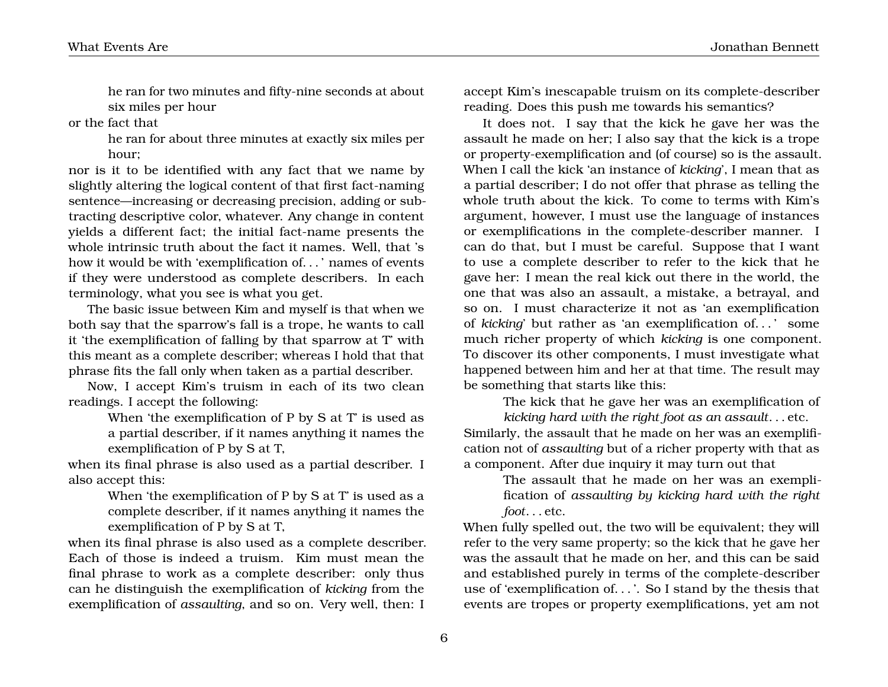he ran for two minutes and fifty-nine seconds at about six miles per hour

or the fact that

he ran for about three minutes at exactly six miles per hour;

nor is it to be identified with any fact that we name by slightly altering the logical content of that first fact-naming sentence—increasing or decreasing precision, adding or subtracting descriptive color, whatever. Any change in content yields a different fact; the initial fact-name presents the whole intrinsic truth about the fact it names. Well, that 's how it would be with 'exemplification of. . . ' names of events if they were understood as complete describers. In each terminology, what you see is what you get.

The basic issue between Kim and myself is that when we both say that the sparrow's fall is a trope, he wants to call it 'the exemplification of falling by that sparrow at T' with this meant as a complete describer; whereas I hold that that phrase fits the fall only when taken as a partial describer.

Now, I accept Kim's truism in each of its two clean readings. I accept the following:

> When 'the exemplification of P by S at T' is used as a partial describer, if it names anything it names the exemplification of P by S at T,

when its final phrase is also used as a partial describer. I also accept this:

> When 'the exemplification of P by S at T' is used as a complete describer, if it names anything it names the exemplification of P by S at T,

when its final phrase is also used as a complete describer. Each of those is indeed a truism. Kim must mean the final phrase to work as a complete describer: only thus can he distinguish the exemplification of *kicking* from the exemplification of *assaulting*, and so on. Very well, then: I

accept Kim's inescapable truism on its complete-describer reading. Does this push me towards his semantics?

It does not. I say that the kick he gave her was the assault he made on her; I also say that the kick is a trope or property-exemplification and (of course) so is the assault. When I call the kick 'an instance of *kicking*', I mean that as a partial describer; I do not offer that phrase as telling the whole truth about the kick. To come to terms with Kim's argument, however, I must use the language of instances or exemplifications in the complete-describer manner. I can do that, but I must be careful. Suppose that I want to use a complete describer to refer to the kick that he gave her: I mean the real kick out there in the world, the one that was also an assault, a mistake, a betrayal, and so on. I must characterize it not as 'an exemplification of *kicking*' but rather as 'an exemplification of. . . ' some much richer property of which *kicking* is one component. To discover its other components, I must investigate what happened between him and her at that time. The result may be something that starts like this:

The kick that he gave her was an exemplification of *kicking hard with the right foot as an assault*. . . etc.

Similarly, the assault that he made on her was an exemplification not of *assaulting* but of a richer property with that as a component. After due inquiry it may turn out that

> The assault that he made on her was an exemplification of *assaulting by kicking hard with the right foot*. . . etc.

When fully spelled out, the two will be equivalent; they will refer to the very same property; so the kick that he gave her was the assault that he made on her, and this can be said and established purely in terms of the complete-describer use of 'exemplification of. . . '. So I stand by the thesis that events are tropes or property exemplifications, yet am not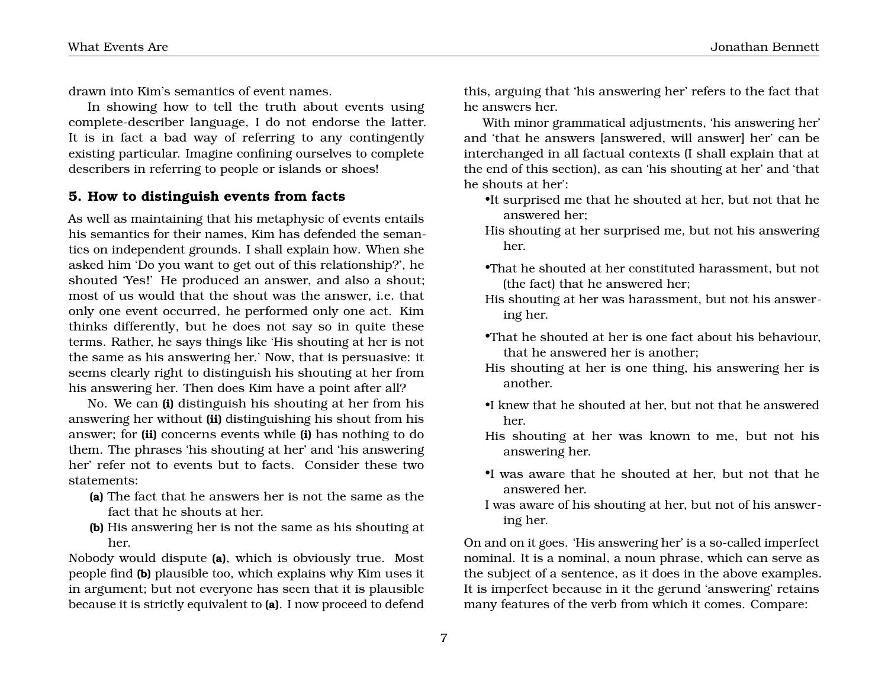drawn into Kim's semantics of event names.

In showing how to tell the truth about events using complete-describer language, I do not endorse the latter. It is in fact a bad way of referring to any contingently existing particular. Imagine confining ourselves to complete describers in referring to people or islands or shoes!

#### **5. How to distinguish events from facts**

As well as maintaining that his metaphysic of events entails his semantics for their names, Kim has defended the semantics on independent grounds. I shall explain how. When she asked him 'Do you want to get out of this relationship?', he shouted 'Yes!' He produced an answer, and also a shout; most of us would that the shout was the answer, i.e. that only one event occurred, he performed only one act. Kim thinks differently, but he does not say so in quite these terms. Rather, he says things like 'His shouting at her is not the same as his answering her.' Now, that is persuasive: it seems clearly right to distinguish his shouting at her from his answering her. Then does Kim have a point after all?

No. We can **(i)** distinguish his shouting at her from his answering her without **(ii)** distinguishing his shout from his answer; for **(ii)** concerns events while **(i)** has nothing to do them. The phrases 'his shouting at her' and 'his answering her' refer not to events but to facts. Consider these two statements:

- **(a)** The fact that he answers her is not the same as the fact that he shouts at her.
- **(b)** His answering her is not the same as his shouting at her.

Nobody would dispute **(a)**, which is obviously true. Most people find **(b)** plausible too, which explains why Kim uses it in argument; but not everyone has seen that it is plausible because it is strictly equivalent to **(a)**. I now proceed to defend

this, arguing that 'his answering her' refers to the fact that he answers her.

With minor grammatical adjustments, 'his answering her' and 'that he answers [answered, will answer] her' can be interchanged in all factual contexts (I shall explain that at the end of this section), as can 'his shouting at her' and 'that he shouts at her':

- •It surprised me that he shouted at her, but not that he answered her;
- His shouting at her surprised me, but not his answering her.
- •That he shouted at her constituted harassment, but not (the fact) that he answered her;
- His shouting at her was harassment, but not his answering her.
- •That he shouted at her is one fact about his behaviour, that he answered her is another;
- His shouting at her is one thing, his answering her is another.
- •I knew that he shouted at her, but not that he answered her.
- His shouting at her was known to me, but not his answering her.
- •I was aware that he shouted at her, but not that he answered her.
- I was aware of his shouting at her, but not of his answering her.

On and on it goes. 'His answering her' is a so-called imperfect nominal. It is a nominal, a noun phrase, which can serve as the subject of a sentence, as it does in the above examples. It is imperfect because in it the gerund 'answering' retains many features of the verb from which it comes. Compare: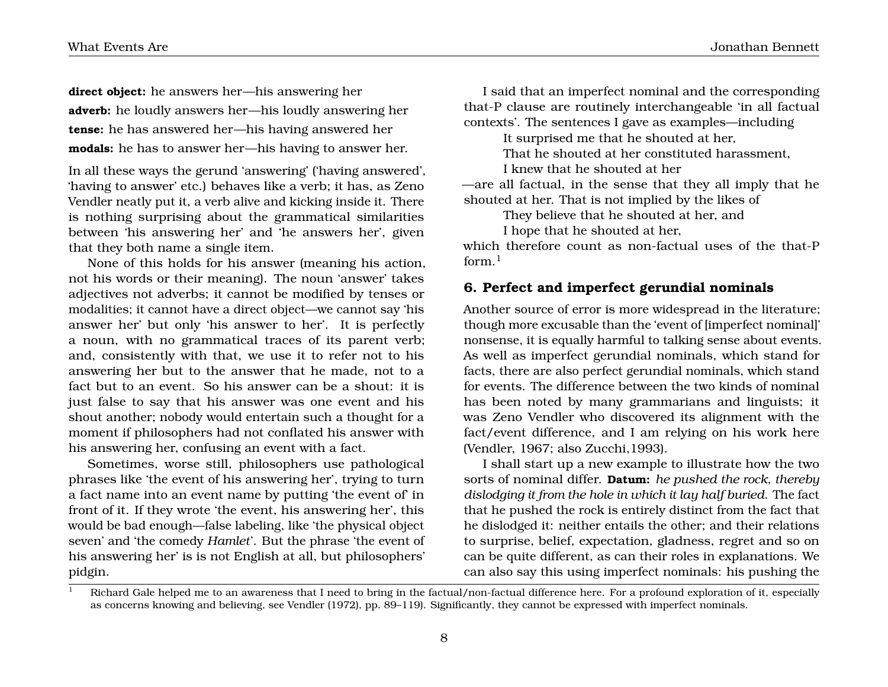**direct object:** he answers her—his answering her **adverb:** he loudly answers her—his loudly answering her **tense:** he has answered her—his having answered her **modals:** he has to answer her—his having to answer her.

In all these ways the gerund 'answering' ('having answered', 'having to answer' etc.) behaves like a verb; it has, as Zeno Vendler neatly put it, a verb alive and kicking inside it. There is nothing surprising about the grammatical similarities between 'his answering her' and 'he answers her', given that they both name a single item.

None of this holds for his answer (meaning his action, not his words or their meaning). The noun 'answer' takes adjectives not adverbs; it cannot be modified by tenses or modalities; it cannot have a direct object—we cannot say 'his answer her' but only 'his answer to her'. It is perfectly a noun, with no grammatical traces of its parent verb; and, consistently with that, we use it to refer not to his answering her but to the answer that he made, not to a fact but to an event. So his answer can be a shout: it is just false to say that his answer was one event and his shout another; nobody would entertain such a thought for a moment if philosophers had not conflated his answer with his answering her, confusing an event with a fact.

Sometimes, worse still, philosophers use pathological phrases like 'the event of his answering her', trying to turn a fact name into an event name by putting 'the event of' in front of it. If they wrote 'the event, his answering her', this would be bad enough—false labeling, like 'the physical object seven' and 'the comedy *Hamlet*'. But the phrase 'the event of his answering her' is is not English at all, but philosophers' pidgin.

I said that an imperfect nominal and the corresponding that-P clause are routinely interchangeable 'in all factual contexts'. The sentences I gave as examples—including

It surprised me that he shouted at her,

That he shouted at her constituted harassment,

I knew that he shouted at her

—are all factual, in the sense that they all imply that he shouted at her. That is not implied by the likes of

They believe that he shouted at her, and

I hope that he shouted at her,

which therefore count as non-factual uses of the that-P form. $<sup>1</sup>$ </sup>

## **6. Perfect and imperfect gerundial nominals**

Another source of error is more widespread in the literature; though more excusable than the 'event of [imperfect nominal]' nonsense, it is equally harmful to talking sense about events. As well as imperfect gerundial nominals, which stand for facts, there are also perfect gerundial nominals, which stand for events. The difference between the two kinds of nominal has been noted by many grammarians and linguists; it was Zeno Vendler who discovered its alignment with the fact/event difference, and I am relying on his work here (Vendler, 1967; also Zucchi,1993).

I shall start up a new example to illustrate how the two sorts of nominal differ. **Datum:** *he pushed the rock, thereby dislodging it from the hole in which it lay half buried*. The fact that he pushed the rock is entirely distinct from the fact that he dislodged it: neither entails the other; and their relations to surprise, belief, expectation, gladness, regret and so on can be quite different, as can their roles in explanations. We can also say this using imperfect nominals: his pushing the

Richard Gale helped me to an awareness that I need to bring in the factual/non-factual difference here. For a profound exploration of it, especially as concerns knowing and believing, see Vendler (1972), pp. 89–119). Significantly, they cannot be expressed with imperfect nominals.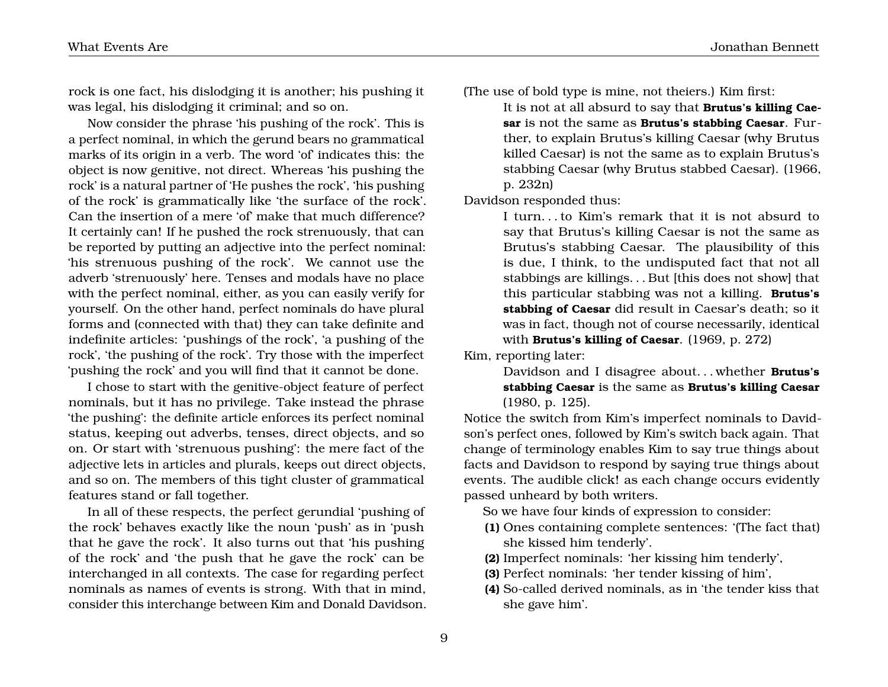rock is one fact, his dislodging it is another; his pushing it was legal, his dislodging it criminal; and so on.

Now consider the phrase 'his pushing of the rock'. This is a perfect nominal, in which the gerund bears no grammatical marks of its origin in a verb. The word 'of' indicates this: the object is now genitive, not direct. Whereas 'his pushing the rock' is a natural partner of 'He pushes the rock', 'his pushing of the rock' is grammatically like 'the surface of the rock'. Can the insertion of a mere 'of' make that much difference? It certainly can! If he pushed the rock strenuously, that can be reported by putting an adjective into the perfect nominal: 'his strenuous pushing of the rock'. We cannot use the adverb 'strenuously' here. Tenses and modals have no place with the perfect nominal, either, as you can easily verify for yourself. On the other hand, perfect nominals do have plural forms and (connected with that) they can take definite and indefinite articles: 'pushings of the rock', 'a pushing of the rock', 'the pushing of the rock'. Try those with the imperfect 'pushing the rock' and you will find that it cannot be done.

I chose to start with the genitive-object feature of perfect nominals, but it has no privilege. Take instead the phrase 'the pushing': the definite article enforces its perfect nominal status, keeping out adverbs, tenses, direct objects, and so on. Or start with 'strenuous pushing': the mere fact of the adjective lets in articles and plurals, keeps out direct objects, and so on. The members of this tight cluster of grammatical features stand or fall together.

In all of these respects, the perfect gerundial 'pushing of the rock' behaves exactly like the noun 'push' as in 'push that he gave the rock'. It also turns out that 'his pushing of the rock' and 'the push that he gave the rock' can be interchanged in all contexts. The case for regarding perfect nominals as names of events is strong. With that in mind, consider this interchange between Kim and Donald Davidson. (The use of bold type is mine, not theiers.) Kim first:

It is not at all absurd to say that **Brutus's killing Caesar** is not the same as **Brutus's stabbing Caesar**. Further, to explain Brutus's killing Caesar (why Brutus killed Caesar) is not the same as to explain Brutus's stabbing Caesar (why Brutus stabbed Caesar). (1966, p. 232n)

Davidson responded thus:

I turn. . . to Kim's remark that it is not absurd to say that Brutus's killing Caesar is not the same as Brutus's stabbing Caesar. The plausibility of this is due, I think, to the undisputed fact that not all stabbings are killings. . . But [this does not show] that this particular stabbing was not a killing. **Brutus's stabbing of Caesar** did result in Caesar's death; so it was in fact, though not of course necessarily, identical with **Brutus's killing of Caesar**. (1969, p. 272)

Kim, reporting later:

Davidson and I disagree about. . . whether **Brutus's stabbing Caesar** is the same as **Brutus's killing Caesar** (1980, p. 125).

Notice the switch from Kim's imperfect nominals to Davidson's perfect ones, followed by Kim's switch back again. That change of terminology enables Kim to say true things about facts and Davidson to respond by saying true things about events. The audible click! as each change occurs evidently passed unheard by both writers.

So we have four kinds of expression to consider:

- **(1)** Ones containing complete sentences: '(The fact that) she kissed him tenderly'.
- **(2)** Imperfect nominals: 'her kissing him tenderly',
- **(3)** Perfect nominals: 'her tender kissing of him',
- **(4)** So-called derived nominals, as in 'the tender kiss that she gave him'.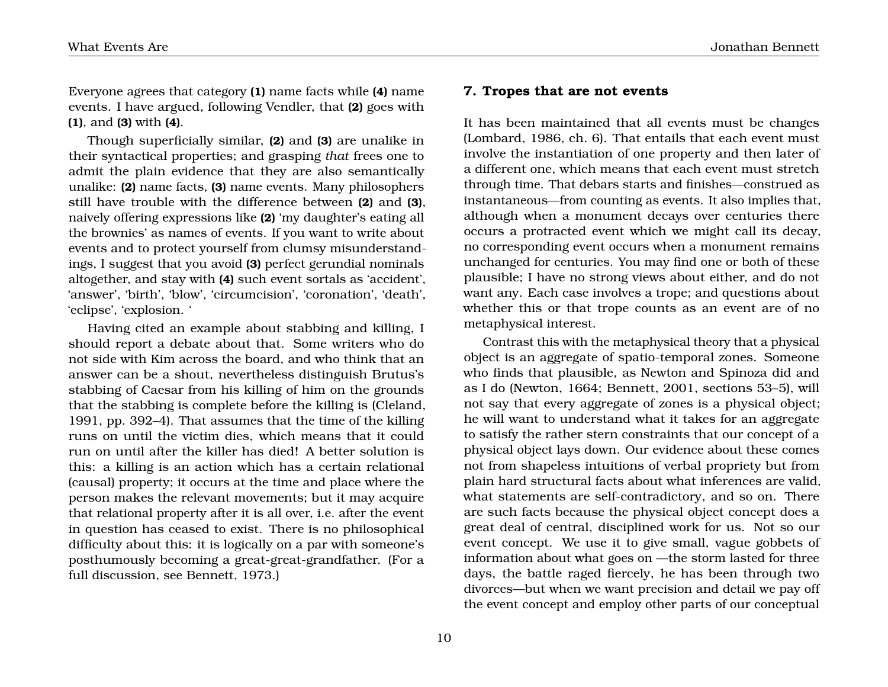Everyone agrees that category **(1)** name facts while **(4)** name events. I have argued, following Vendler, that **(2)** goes with **(1)**, and **(3)** with **(4)**.

Though superficially similar, **(2)** and **(3)** are unalike in their syntactical properties; and grasping *that* frees one to admit the plain evidence that they are also semantically unalike: **(2)** name facts, **(3)** name events. Many philosophers still have trouble with the difference between **(2)** and **(3)**, naively offering expressions like **(2)** 'my daughter's eating all the brownies' as names of events. If you want to write about events and to protect yourself from clumsy misunderstandings, I suggest that you avoid **(3)** perfect gerundial nominals altogether, and stay with **(4)** such event sortals as 'accident', 'answer', 'birth', 'blow', 'circumcision', 'coronation', 'death', 'eclipse', 'explosion. '

Having cited an example about stabbing and killing, I should report a debate about that. Some writers who do not side with Kim across the board, and who think that an answer can be a shout, nevertheless distinguish Brutus's stabbing of Caesar from his killing of him on the grounds that the stabbing is complete before the killing is (Cleland, 1991, pp. 392–4). That assumes that the time of the killing runs on until the victim dies, which means that it could run on until after the killer has died! A better solution is this: a killing is an action which has a certain relational (causal) property; it occurs at the time and place where the person makes the relevant movements; but it may acquire that relational property after it is all over, i.e. after the event in question has ceased to exist. There is no philosophical difficulty about this: it is logically on a par with someone's posthumously becoming a great-great-grandfather. (For a full discussion, see Bennett, 1973.)

#### **7. Tropes that are not events**

It has been maintained that all events must be changes (Lombard, 1986, ch. 6). That entails that each event must involve the instantiation of one property and then later of a different one, which means that each event must stretch through time. That debars starts and finishes—construed as instantaneous—from counting as events. It also implies that, although when a monument decays over centuries there occurs a protracted event which we might call its decay, no corresponding event occurs when a monument remains unchanged for centuries. You may find one or both of these plausible; I have no strong views about either, and do not want any. Each case involves a trope; and questions about whether this or that trope counts as an event are of no metaphysical interest.

Contrast this with the metaphysical theory that a physical object is an aggregate of spatio-temporal zones. Someone who finds that plausible, as Newton and Spinoza did and as I do (Newton, 1664; Bennett, 2001, sections 53–5), will not say that every aggregate of zones is a physical object; he will want to understand what it takes for an aggregate to satisfy the rather stern constraints that our concept of a physical object lays down. Our evidence about these comes not from shapeless intuitions of verbal propriety but from plain hard structural facts about what inferences are valid, what statements are self-contradictory, and so on. There are such facts because the physical object concept does a great deal of central, disciplined work for us. Not so our event concept. We use it to give small, vague gobbets of information about what goes on —the storm lasted for three days, the battle raged fiercely, he has been through two divorces—but when we want precision and detail we pay off the event concept and employ other parts of our conceptual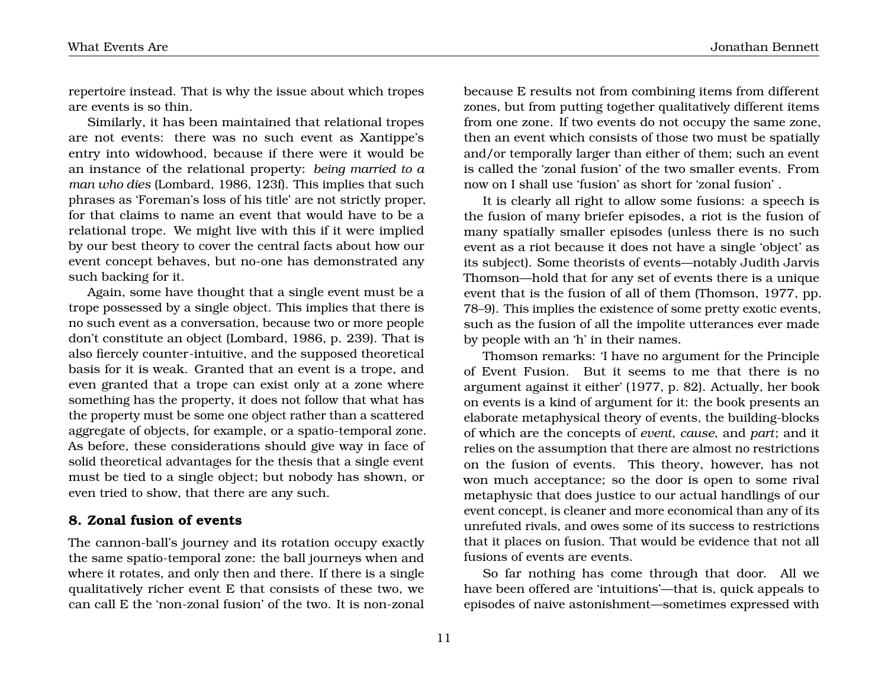repertoire instead. That is why the issue about which tropes are events is so thin.

Similarly, it has been maintained that relational tropes are not events: there was no such event as Xantippe's entry into widowhood, because if there were it would be an instance of the relational property: *being married to a man who dies* (Lombard, 1986, 123f). This implies that such phrases as 'Foreman's loss of his title' are not strictly proper, for that claims to name an event that would have to be a relational trope. We might live with this if it were implied by our best theory to cover the central facts about how our event concept behaves, but no-one has demonstrated any such backing for it.

Again, some have thought that a single event must be a trope possessed by a single object. This implies that there is no such event as a conversation, because two or more people don't constitute an object (Lombard, 1986, p. 239). That is also fiercely counter-intuitive, and the supposed theoretical basis for it is weak. Granted that an event is a trope, and even granted that a trope can exist only at a zone where something has the property, it does not follow that what has the property must be some one object rather than a scattered aggregate of objects, for example, or a spatio-temporal zone. As before, these considerations should give way in face of solid theoretical advantages for the thesis that a single event must be tied to a single object; but nobody has shown, or even tried to show, that there are any such.

## **8. Zonal fusion of events**

The cannon-ball's journey and its rotation occupy exactly the same spatio-temporal zone: the ball journeys when and where it rotates, and only then and there. If there is a single qualitatively richer event E that consists of these two, we can call E the 'non-zonal fusion' of the two. It is non-zonal

because E results not from combining items from different zones, but from putting together qualitatively different items from one zone. If two events do not occupy the same zone, then an event which consists of those two must be spatially and/or temporally larger than either of them; such an event is called the 'zonal fusion' of the two smaller events. From now on I shall use 'fusion' as short for 'zonal fusion' .

It is clearly all right to allow some fusions: a speech is the fusion of many briefer episodes, a riot is the fusion of many spatially smaller episodes (unless there is no such event as a riot because it does not have a single 'object' as its subject). Some theorists of events—notably Judith Jarvis Thomson—hold that for any set of events there is a unique event that is the fusion of all of them (Thomson, 1977, pp. 78–9). This implies the existence of some pretty exotic events, such as the fusion of all the impolite utterances ever made by people with an 'h' in their names.

Thomson remarks: 'I have no argument for the Principle of Event Fusion. But it seems to me that there is no argument against it either' (1977, p. 82). Actually, her book on events is a kind of argument for it: the book presents an elaborate metaphysical theory of events, the building-blocks of which are the concepts of *event*, *cause*, and *part*; and it relies on the assumption that there are almost no restrictions on the fusion of events. This theory, however, has not won much acceptance; so the door is open to some rival metaphysic that does justice to our actual handlings of our event concept, is cleaner and more economical than any of its unrefuted rivals, and owes some of its success to restrictions that it places on fusion. That would be evidence that not all fusions of events are events.

So far nothing has come through that door. All we have been offered are 'intuitions'—that is, quick appeals to episodes of naive astonishment—sometimes expressed with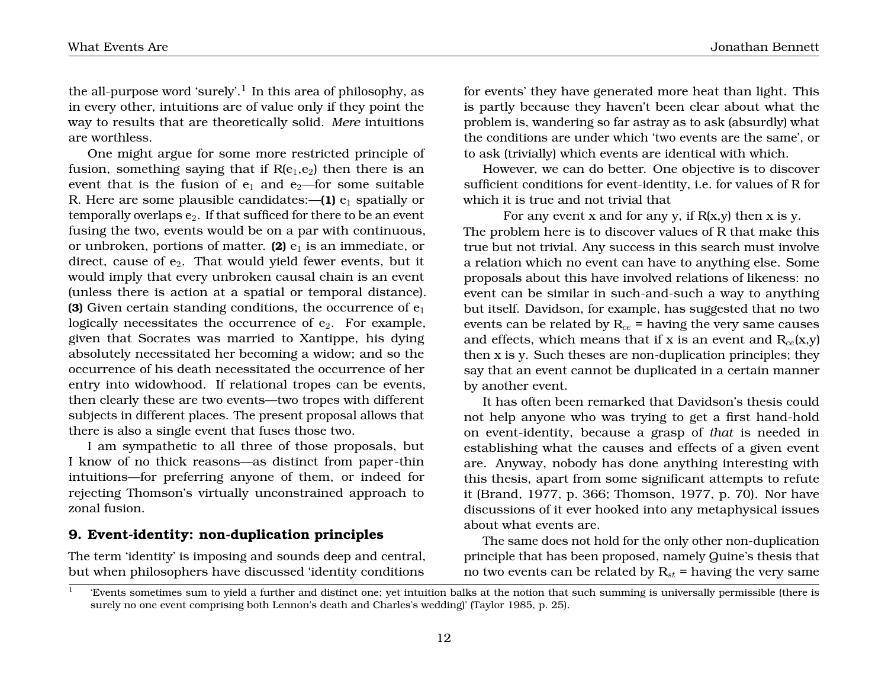the all-purpose word 'surely'. $^{\rm l}$  In this area of philosophy, as in every other, intuitions are of value only if they point the way to results that are theoretically solid. *Mere* intuitions are worthless.

One might argue for some more restricted principle of fusion, something saying that if  $R(e_1,e_2)$  then there is an event that is the fusion of  $e_1$  and  $e_2$ —for some suitable R. Here are some plausible candidates: $-$ (1)  $e_1$  spatially or temporally overlaps  $e_2$ . If that sufficed for there to be an event fusing the two, events would be on a par with continuous, or unbroken, portions of matter.  $(2)$   $e_1$  is an immediate, or direct, cause of  $e_2$ . That would yield fewer events, but it would imply that every unbroken causal chain is an event (unless there is action at a spatial or temporal distance). **(3)** Given certain standing conditions, the occurrence of  $e_1$ logically necessitates the occurrence of  $e_2$ . For example, given that Socrates was married to Xantippe, his dying absolutely necessitated her becoming a widow; and so the occurrence of his death necessitated the occurrence of her entry into widowhood. If relational tropes can be events, then clearly these are two events—two tropes with different subjects in different places. The present proposal allows that there is also a single event that fuses those two.

I am sympathetic to all three of those proposals, but I know of no thick reasons—as distinct from paper-thin intuitions—for preferring anyone of them, or indeed for rejecting Thomson's virtually unconstrained approach to zonal fusion.

## **9. Event-identity: non-duplication principles**

The term 'identity' is imposing and sounds deep and central, but when philosophers have discussed 'identity conditions

for events' they have generated more heat than light. This is partly because they haven't been clear about what the problem is, wandering so far astray as to ask (absurdly) what the conditions are under which 'two events are the same', or to ask (trivially) which events are identical with which.

However, we can do better. One objective is to discover sufficient conditions for event-identity, i.e. for values of R for which it is true and not trivial that

For any event x and for any y, if  $R(x,y)$  then x is y. The problem here is to discover values of R that make this true but not trivial. Any success in this search must involve a relation which no event can have to anything else. Some proposals about this have involved relations of likeness: no event can be similar in such-and-such a way to anything but itself. Davidson, for example, has suggested that no two events can be related by  $R_{ce}$  = having the very same causes and effects, which means that if x is an event and  $R_{ce}(x,y)$ then x is y. Such theses are non-duplication principles; they say that an event cannot be duplicated in a certain manner by another event.

It has often been remarked that Davidson's thesis could not help anyone who was trying to get a first hand-hold on event-identity, because a grasp of *that* is needed in establishing what the causes and effects of a given event are. Anyway, nobody has done anything interesting with this thesis, apart from some significant attempts to refute it (Brand, 1977, p. 366; Thomson, 1977, p. 70). Nor have discussions of it ever hooked into any metaphysical issues about what events are.

The same does not hold for the only other non-duplication principle that has been proposed, namely Quine's thesis that no two events can be related by  $R_{st}$  = having the very same

<sup>1</sup> 'Events sometimes sum to yield a further and distinct one; yet intuition balks at the notion that such summing is universally permissible (there is surely no one event comprising both Lennon's death and Charles's wedding)' (Taylor 1985, p. 25).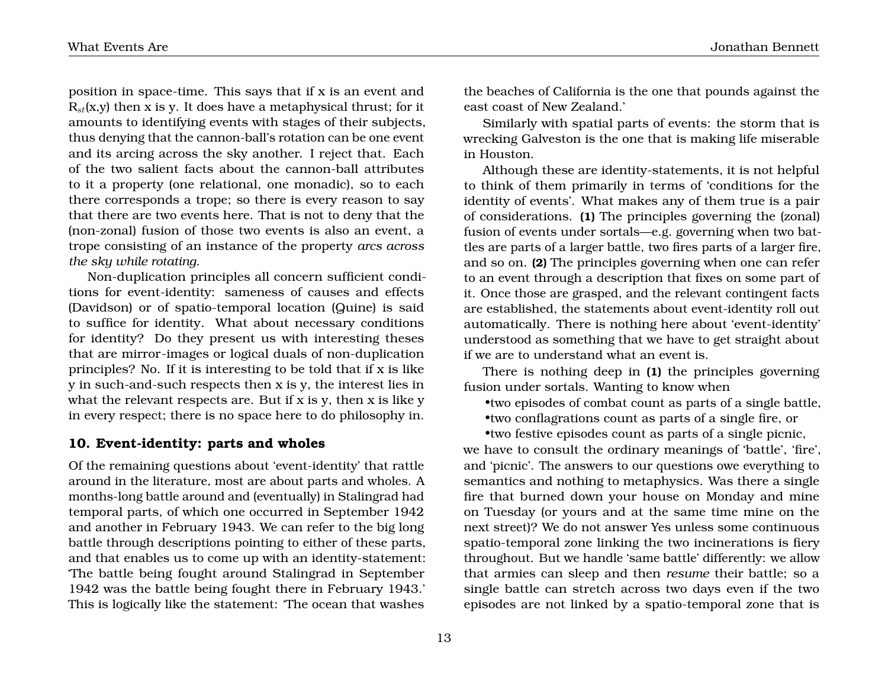position in space-time. This says that if x is an event and  $R_{st}(x,y)$  then x is y. It does have a metaphysical thrust; for it amounts to identifying events with stages of their subjects, thus denying that the cannon-ball's rotation can be one event and its arcing across the sky another. I reject that. Each of the two salient facts about the cannon-ball attributes to it a property (one relational, one monadic), so to each there corresponds a trope; so there is every reason to say that there are two events here. That is not to deny that the (non-zonal) fusion of those two events is also an event, a trope consisting of an instance of the property *arcs across the sky while rotating*.

Non-duplication principles all concern sufficient conditions for event-identity: sameness of causes and effects (Davidson) or of spatio-temporal location (Quine) is said to suffice for identity. What about necessary conditions for identity? Do they present us with interesting theses that are mirror-images or logical duals of non-duplication principles? No. If it is interesting to be told that if x is like y in such-and-such respects then x is y, the interest lies in what the relevant respects are. But if  $x$  is  $y$ , then  $x$  is like  $y$ in every respect; there is no space here to do philosophy in.

#### **10. Event-identity: parts and wholes**

Of the remaining questions about 'event-identity' that rattle around in the literature, most are about parts and wholes. A months-long battle around and (eventually) in Stalingrad had temporal parts, of which one occurred in September 1942 and another in February 1943. We can refer to the big long battle through descriptions pointing to either of these parts, and that enables us to come up with an identity-statement: 'The battle being fought around Stalingrad in September 1942 was the battle being fought there in February 1943.' This is logically like the statement: 'The ocean that washes

the beaches of California is the one that pounds against the east coast of New Zealand.'

Similarly with spatial parts of events: the storm that is wrecking Galveston is the one that is making life miserable in Houston.

Although these are identity-statements, it is not helpful to think of them primarily in terms of 'conditions for the identity of events'. What makes any of them true is a pair of considerations. **(1)** The principles governing the (zonal) fusion of events under sortals—e.g. governing when two battles are parts of a larger battle, two fires parts of a larger fire, and so on. **(2)** The principles governing when one can refer to an event through a description that fixes on some part of it. Once those are grasped, and the relevant contingent facts are established, the statements about event-identity roll out automatically. There is nothing here about 'event-identity' understood as something that we have to get straight about if we are to understand what an event is.

There is nothing deep in **(1)** the principles governing fusion under sortals. Wanting to know when

•two episodes of combat count as parts of a single battle,

•two conflagrations count as parts of a single fire, or

•two festive episodes count as parts of a single picnic,

we have to consult the ordinary meanings of 'battle', 'fire', and 'picnic'. The answers to our questions owe everything to semantics and nothing to metaphysics. Was there a single fire that burned down your house on Monday and mine on Tuesday (or yours and at the same time mine on the next street)? We do not answer Yes unless some continuous spatio-temporal zone linking the two incinerations is fiery throughout. But we handle 'same battle' differently: we allow that armies can sleep and then *resume* their battle; so a single battle can stretch across two days even if the two episodes are not linked by a spatio-temporal zone that is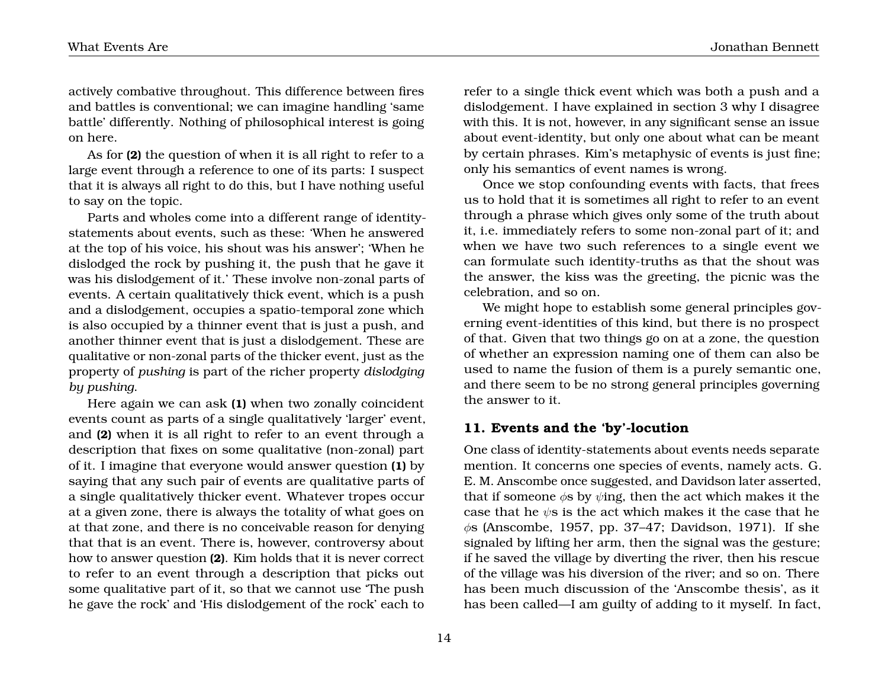actively combative throughout. This difference between fires and battles is conventional; we can imagine handling 'same battle' differently. Nothing of philosophical interest is going on here.

As for **(2)** the question of when it is all right to refer to a large event through a reference to one of its parts: I suspect that it is always all right to do this, but I have nothing useful to say on the topic.

Parts and wholes come into a different range of identitystatements about events, such as these: 'When he answered at the top of his voice, his shout was his answer'; 'When he dislodged the rock by pushing it, the push that he gave it was his dislodgement of it.' These involve non-zonal parts of events. A certain qualitatively thick event, which is a push and a dislodgement, occupies a spatio-temporal zone which is also occupied by a thinner event that is just a push, and another thinner event that is just a dislodgement. These are qualitative or non-zonal parts of the thicker event, just as the property of *pushing* is part of the richer property *dislodging by pushing*.

Here again we can ask **(1)** when two zonally coincident events count as parts of a single qualitatively 'larger' event, and **(2)** when it is all right to refer to an event through a description that fixes on some qualitative (non-zonal) part of it. I imagine that everyone would answer question **(1)** by saying that any such pair of events are qualitative parts of a single qualitatively thicker event. Whatever tropes occur at a given zone, there is always the totality of what goes on at that zone, and there is no conceivable reason for denying that that is an event. There is, however, controversy about how to answer question **(2)**. Kim holds that it is never correct to refer to an event through a description that picks out some qualitative part of it, so that we cannot use 'The push he gave the rock' and 'His dislodgement of the rock' each to

refer to a single thick event which was both a push and a dislodgement. I have explained in section 3 why I disagree with this. It is not, however, in any significant sense an issue about event-identity, but only one about what can be meant by certain phrases. Kim's metaphysic of events is just fine; only his semantics of event names is wrong.

Once we stop confounding events with facts, that frees us to hold that it is sometimes all right to refer to an event through a phrase which gives only some of the truth about it, i.e. immediately refers to some non-zonal part of it; and when we have two such references to a single event we can formulate such identity-truths as that the shout was the answer, the kiss was the greeting, the picnic was the celebration, and so on.

We might hope to establish some general principles governing event-identities of this kind, but there is no prospect of that. Given that two things go on at a zone, the question of whether an expression naming one of them can also be used to name the fusion of them is a purely semantic one, and there seem to be no strong general principles governing the answer to it.

# **11. Events and the 'by'-locution**

One class of identity-statements about events needs separate mention. It concerns one species of events, namely acts. G. E. M. Anscombe once suggested, and Davidson later asserted, that if someone  $\phi$ s by  $\psi$ ing, then the act which makes it the case that he  $\psi$ s is the act which makes it the case that he  $\phi$ s (Anscombe, 1957, pp. 37–47; Davidson, 1971). If she signaled by lifting her arm, then the signal was the gesture; if he saved the village by diverting the river, then his rescue of the village was his diversion of the river; and so on. There has been much discussion of the 'Anscombe thesis', as it has been called—I am guilty of adding to it myself. In fact,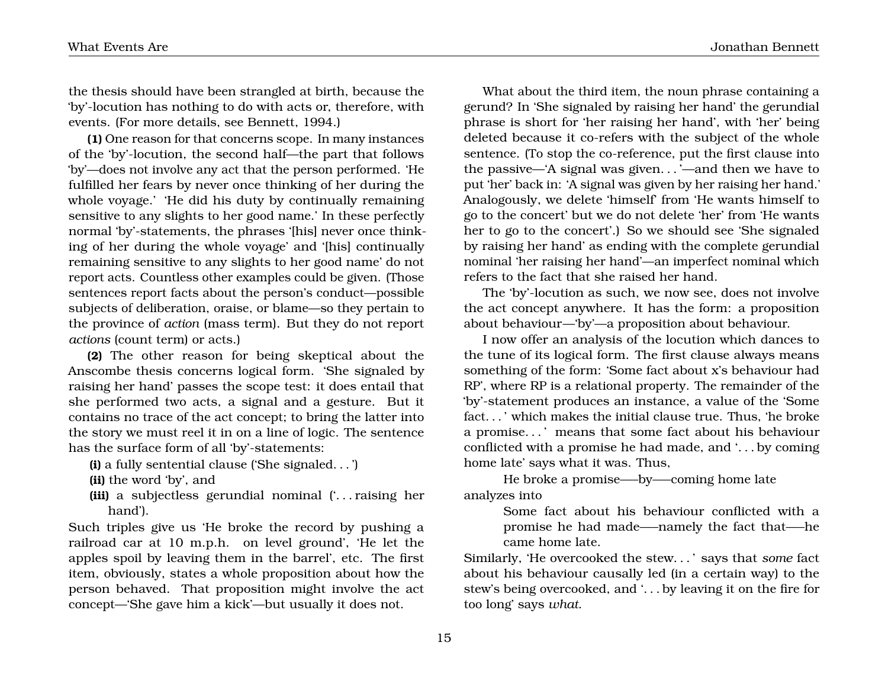the thesis should have been strangled at birth, because the 'by'-locution has nothing to do with acts or, therefore, with events. (For more details, see Bennett, 1994.)

**(1)** One reason for that concerns scope. In many instances of the 'by'-locution, the second half—the part that follows 'by'—does not involve any act that the person performed. 'He fulfilled her fears by never once thinking of her during the whole voyage.' 'He did his duty by continually remaining sensitive to any slights to her good name.' In these perfectly normal 'by'-statements, the phrases '[his] never once thinking of her during the whole voyage' and '[his] continually remaining sensitive to any slights to her good name' do not report acts. Countless other examples could be given. (Those sentences report facts about the person's conduct—possible subjects of deliberation, oraise, or blame—so they pertain to the province of *action* (mass term). But they do not report *actions* (count term) or acts.)

**(2)** The other reason for being skeptical about the Anscombe thesis concerns logical form. 'She signaled by raising her hand' passes the scope test: it does entail that she performed two acts, a signal and a gesture. But it contains no trace of the act concept; to bring the latter into the story we must reel it in on a line of logic. The sentence has the surface form of all 'by'-statements:

- **(i)** a fully sentential clause ('She signaled. . . ')
- **(ii)** the word 'by', and
- **(iii)** a subjectless gerundial nominal ('. . . raising her hand').

Such triples give us 'He broke the record by pushing a railroad car at 10 m.p.h. on level ground', 'He let the apples spoil by leaving them in the barrel', etc. The first item, obviously, states a whole proposition about how the person behaved. That proposition might involve the act concept—'She gave him a kick'—but usually it does not.

What about the third item, the noun phrase containing a gerund? In 'She signaled by raising her hand' the gerundial phrase is short for 'her raising her hand', with 'her' being deleted because it co-refers with the subject of the whole sentence. (To stop the co-reference, put the first clause into the passive—'A signal was given. . . '—and then we have to put 'her' back in: 'A signal was given by her raising her hand.' Analogously, we delete 'himself' from 'He wants himself to go to the concert' but we do not delete 'her' from 'He wants her to go to the concert'.) So we should see 'She signaled by raising her hand' as ending with the complete gerundial nominal 'her raising her hand'—an imperfect nominal which refers to the fact that she raised her hand.

The 'by'-locution as such, we now see, does not involve the act concept anywhere. It has the form: a proposition about behaviour—'by'—a proposition about behaviour.

I now offer an analysis of the locution which dances to the tune of its logical form. The first clause always means something of the form: 'Some fact about x's behaviour had RP', where RP is a relational property. The remainder of the 'by'-statement produces an instance, a value of the 'Some fact. . . ' which makes the initial clause true. Thus, 'he broke a promise. . . ' means that some fact about his behaviour conflicted with a promise he had made, and '. . . by coming home late' says what it was. Thus,

He broke a promise—–by—–coming home late analyzes into

> Some fact about his behaviour conflicted with a promise he had made—–namely the fact that—–he came home late.

Similarly, 'He overcooked the stew. . . ' says that *some* fact about his behaviour causally led (in a certain way) to the stew's being overcooked, and '. . . by leaving it on the fire for too long' says *what*.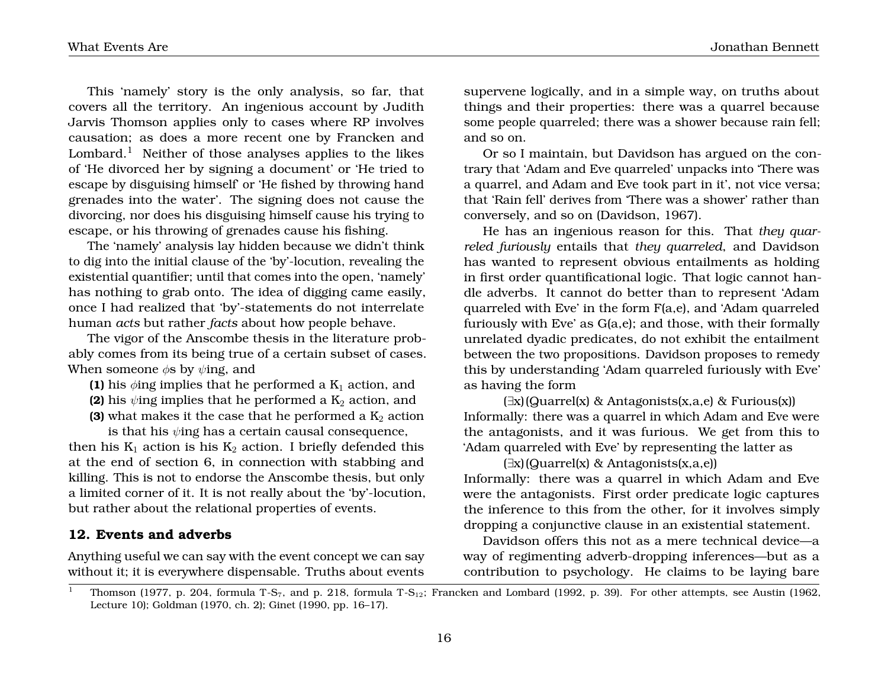This 'namely' story is the only analysis, so far, that covers all the territory. An ingenious account by Judith Jarvis Thomson applies only to cases where RP involves causation; as does a more recent one by Francken and Lombard.<sup>1</sup> Neither of those analyses applies to the likes of 'He divorced her by signing a document' or 'He tried to escape by disguising himself' or 'He fished by throwing hand grenades into the water'. The signing does not cause the divorcing, nor does his disguising himself cause his trying to escape, or his throwing of grenades cause his fishing.

The 'namely' analysis lay hidden because we didn't think to dig into the initial clause of the 'by'-locution, revealing the existential quantifier; until that comes into the open, 'namely' has nothing to grab onto. The idea of digging came easily, once I had realized that 'by'-statements do not interrelate human *acts* but rather *facts* about how people behave.

The vigor of the Anscombe thesis in the literature probably comes from its being true of a certain subset of cases. When someone  $\phi$ s by  $\psi$ ing, and

- **(1)** his  $\phi$ ing implies that he performed a  $K_1$  action, and
- **(2)** his  $\psi$ ing implies that he performed a  $K_2$  action, and
- **(3)** what makes it the case that he performed a  $K_2$  action

is that his  $\psi$ ing has a certain causal consequence, then his  $K_1$  action is his  $K_2$  action. I briefly defended this at the end of section 6, in connection with stabbing and killing. This is not to endorse the Anscombe thesis, but only a limited corner of it. It is not really about the 'by'-locution, but rather about the relational properties of events.

#### **12. Events and adverbs**

Anything useful we can say with the event concept we can say without it; it is everywhere dispensable. Truths about events

supervene logically, and in a simple way, on truths about things and their properties: there was a quarrel because some people quarreled; there was a shower because rain fell; and so on.

Or so I maintain, but Davidson has argued on the contrary that 'Adam and Eve quarreled' unpacks into 'There was a quarrel, and Adam and Eve took part in it', not vice versa; that 'Rain fell' derives from 'There was a shower' rather than conversely, and so on (Davidson, 1967).

He has an ingenious reason for this. That *they quarreled furiously* entails that *they quarreled*, and Davidson has wanted to represent obvious entailments as holding in first order quantificational logic. That logic cannot handle adverbs. It cannot do better than to represent 'Adam quarreled with Eve' in the form F(a,e), and 'Adam quarreled furiously with Eve' as G(a,e); and those, with their formally unrelated dyadic predicates, do not exhibit the entailment between the two propositions. Davidson proposes to remedy this by understanding 'Adam quarreled furiously with Eve' as having the form

(∃x) (Quarrel(x) & Antagonists(x,a,e) & Furious(x)) Informally: there was a quarrel in which Adam and Eve were the antagonists, and it was furious. We get from this to 'Adam quarreled with Eve' by representing the latter as

(∃x) (Quarrel(x) & Antagonists(x,a,e)) Informally: there was a quarrel in which Adam and Eve were the antagonists. First order predicate logic captures the inference to this from the other, for it involves simply dropping a conjunctive clause in an existential statement.

Davidson offers this not as a mere technical device—a way of regimenting adverb-dropping inferences—but as a contribution to psychology. He claims to be laying bare

Thomson (1977, p. 204, formula T-S<sub>7</sub>, and p. 218, formula T-S<sub>12</sub>; Francken and Lombard (1992, p. 39). For other attempts, see Austin (1962, Lecture 10); Goldman (1970, ch. 2); Ginet (1990, pp. 16–17).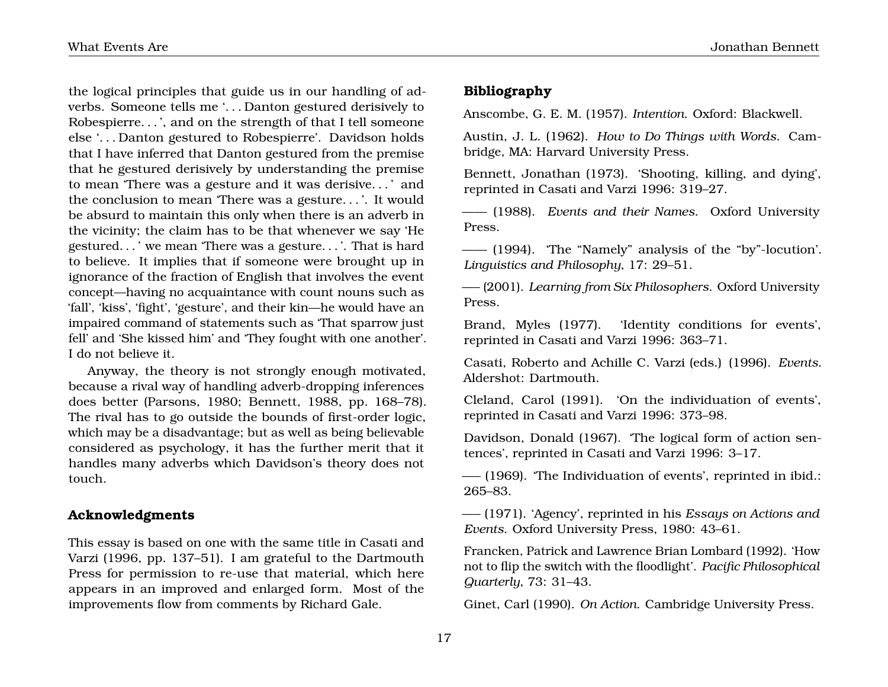the logical principles that guide us in our handling of adverbs. Someone tells me '. . . Danton gestured derisively to Robespierre. . . ', and on the strength of that I tell someone else '. . . Danton gestured to Robespierre'. Davidson holds that I have inferred that Danton gestured from the premise that he gestured derisively by understanding the premise to mean 'There was a gesture and it was derisive. . . ' and the conclusion to mean 'There was a gesture. . . '. It would be absurd to maintain this only when there is an adverb in the vicinity; the claim has to be that whenever we say 'He gestured. . . ' we mean 'There was a gesture. . . '. That is hard to believe. It implies that if someone were brought up in ignorance of the fraction of English that involves the event concept—having no acquaintance with count nouns such as 'fall', 'kiss', 'fight', 'gesture', and their kin—he would have an impaired command of statements such as 'That sparrow just fell' and 'She kissed him' and 'They fought with one another'. I do not believe it.

Anyway, the theory is not strongly enough motivated, because a rival way of handling adverb-dropping inferences does better (Parsons, 1980; Bennett, 1988, pp. 168–78). The rival has to go outside the bounds of first-order logic, which may be a disadvantage; but as well as being believable considered as psychology, it has the further merit that it handles many adverbs which Davidson's theory does not touch.

#### **Acknowledgments**

This essay is based on one with the same title in Casati and Varzi (1996, pp. 137–51). I am grateful to the Dartmouth Press for permission to re-use that material, which here appears in an improved and enlarged form. Most of the improvements flow from comments by Richard Gale.

# **Bibliography**

Anscombe, G. E. M. (1957). *Intention*. Oxford: Blackwell.

Austin, J. L. (1962). *How to Do Things with Words*. Cambridge, MA: Harvard University Press.

Bennett, Jonathan (1973). 'Shooting, killing, and dying', reprinted in Casati and Varzi 1996: 319–27.

—— (1988). *Events and their Names*. Oxford University Press.

—— (1994). 'The "Namely" analysis of the "by"-locution'. *Linguistics and Philosophy*, 17: 29–51.

—– (2001). *Learning from Six Philosophers*. Oxford University Press.

Brand, Myles (1977). 'Identity conditions for events', reprinted in Casati and Varzi 1996: 363–71.

Casati, Roberto and Achille C. Varzi (eds.) (1996). *Events*. Aldershot: Dartmouth.

Cleland, Carol (1991). 'On the individuation of events', reprinted in Casati and Varzi 1996: 373–98.

Davidson, Donald (1967). 'The logical form of action sentences', reprinted in Casati and Varzi 1996: 3–17.

—– (1969). 'The Individuation of events', reprinted in ibid.: 265–83.

—– (1971). 'Agency', reprinted in his *Essays on Actions and Events*. Oxford University Press, 1980: 43–61.

Francken, Patrick and Lawrence Brian Lombard (1992). 'How not to flip the switch with the floodlight'. *Pacific Philosophical Quarterly*, 73: 31–43.

Ginet, Carl (1990). *On Action*. Cambridge University Press.